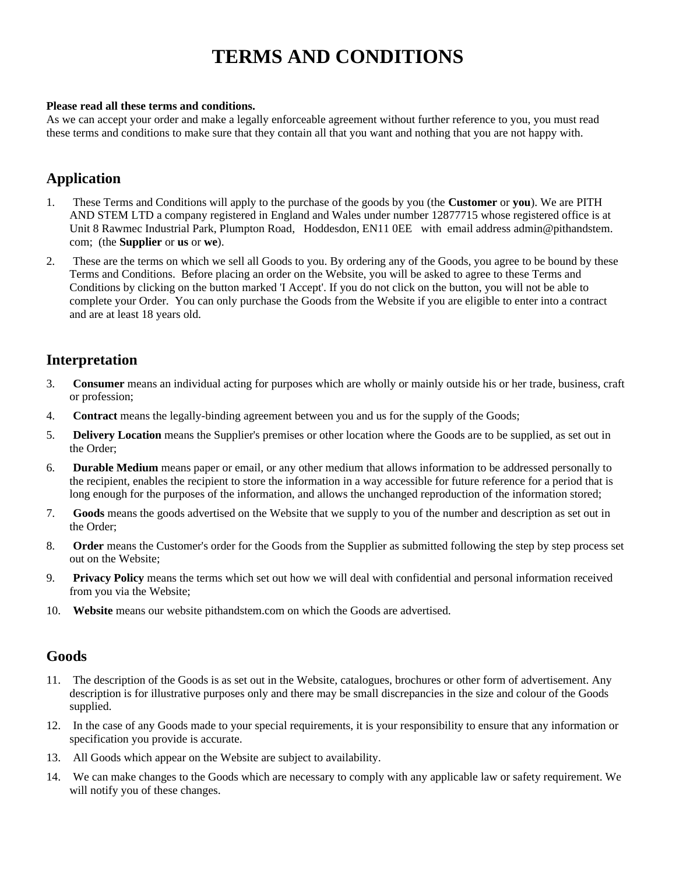# **TERMS AND CONDITIONS**

#### **Please read all these terms and conditions.**

As we can accept your order and make a legally enforceable agreement without further reference to you, you must read these terms and conditions to make sure that they contain all that you want and nothing that you are not happy with.

# **Application**

- 1. These Terms and Conditions will apply to the purchase of the goods by you (the **Customer** or **you**). We are PITH AND STEM LTD a company registered in England and Wales under number 12877715 whose registered office is at Unit 8 Rawmec Industrial Park, Plumpton Road, Hoddesdon, EN11 0EE with email address admin@pithandstem. com; (the **Supplier** or **us** or **we**).
- 2. These are the terms on which we sell all Goods to you. By ordering any of the Goods, you agree to be bound by these Terms and Conditions. Before placing an order on the Website, you will be asked to agree to these Terms and Conditions by clicking on the button marked 'I Accept'. If you do not click on the button, you will not be able to complete your Order. You can only purchase the Goods from the Website if you are eligible to enter into a contract and are at least 18 years old.

# **Interpretation**

- 3. **Consumer** means an individual acting for purposes which are wholly or mainly outside his or her trade, business, craft or profession;
- 4. **Contract** means the legally-binding agreement between you and us for the supply of the Goods;
- 5. **Delivery Location** means the Supplier's premises or other location where the Goods are to be supplied, as set out in the Order;
- 6. **Durable Medium** means paper or email, or any other medium that allows information to be addressed personally to the recipient, enables the recipient to store the information in a way accessible for future reference for a period that is long enough for the purposes of the information, and allows the unchanged reproduction of the information stored;
- 7. **Goods** means the goods advertised on the Website that we supply to you of the number and description as set out in the Order;
- 8. **Order** means the Customer's order for the Goods from the Supplier as submitted following the step by step process set out on the Website;
- 9. **Privacy Policy** means the terms which set out how we will deal with confidential and personal information received from you via the Website;
- 10. **Website** means our website pithandstem.com on which the Goods are advertised.

# **Goods**

- 11. The description of the Goods is as set out in the Website, catalogues, brochures or other form of advertisement. Any description is for illustrative purposes only and there may be small discrepancies in the size and colour of the Goods supplied.
- 12. In the case of any Goods made to your special requirements, it is your responsibility to ensure that any information or specification you provide is accurate.
- 13. All Goods which appear on the Website are subject to availability.
- 14. We can make changes to the Goods which are necessary to comply with any applicable law or safety requirement. We will notify you of these changes.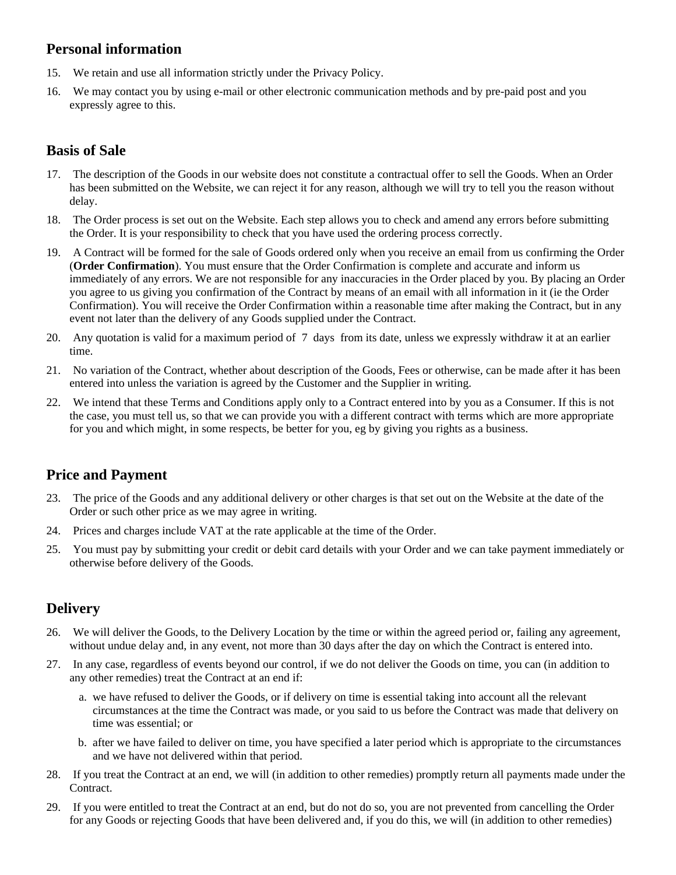# **Personal information**

- 15. We retain and use all information strictly under the Privacy Policy.
- 16. We may contact you by using e-mail or other electronic communication methods and by pre-paid post and you expressly agree to this.

# **Basis of Sale**

- 17. The description of the Goods in our website does not constitute a contractual offer to sell the Goods. When an Order has been submitted on the Website, we can reject it for any reason, although we will try to tell you the reason without delay.
- 18. The Order process is set out on the Website. Each step allows you to check and amend any errors before submitting the Order. It is your responsibility to check that you have used the ordering process correctly.
- 19. A Contract will be formed for the sale of Goods ordered only when you receive an email from us confirming the Order (**Order Confirmation**). You must ensure that the Order Confirmation is complete and accurate and inform us immediately of any errors. We are not responsible for any inaccuracies in the Order placed by you. By placing an Order you agree to us giving you confirmation of the Contract by means of an email with all information in it (ie the Order Confirmation). You will receive the Order Confirmation within a reasonable time after making the Contract, but in any event not later than the delivery of any Goods supplied under the Contract.
- 20. Any quotation is valid for a maximum period of 7 days from its date, unless we expressly withdraw it at an earlier time.
- 21. No variation of the Contract, whether about description of the Goods, Fees or otherwise, can be made after it has been entered into unless the variation is agreed by the Customer and the Supplier in writing.
- 22. We intend that these Terms and Conditions apply only to a Contract entered into by you as a Consumer. If this is not the case, you must tell us, so that we can provide you with a different contract with terms which are more appropriate for you and which might, in some respects, be better for you, eg by giving you rights as a business.

# **Price and Payment**

- 23. The price of the Goods and any additional delivery or other charges is that set out on the Website at the date of the Order or such other price as we may agree in writing.
- 24. Prices and charges include VAT at the rate applicable at the time of the Order.
- 25. You must pay by submitting your credit or debit card details with your Order and we can take payment immediately or otherwise before delivery of the Goods.

# **Delivery**

- 26. We will deliver the Goods, to the Delivery Location by the time or within the agreed period or, failing any agreement, without undue delay and, in any event, not more than 30 days after the day on which the Contract is entered into.
- 27. In any case, regardless of events beyond our control, if we do not deliver the Goods on time, you can (in addition to any other remedies) treat the Contract at an end if:
	- a. we have refused to deliver the Goods, or if delivery on time is essential taking into account all the relevant circumstances at the time the Contract was made, or you said to us before the Contract was made that delivery on time was essential; or
	- b. after we have failed to deliver on time, you have specified a later period which is appropriate to the circumstances and we have not delivered within that period.
- 28. If you treat the Contract at an end, we will (in addition to other remedies) promptly return all payments made under the Contract.
- 29. If you were entitled to treat the Contract at an end, but do not do so, you are not prevented from cancelling the Order for any Goods or rejecting Goods that have been delivered and, if you do this, we will (in addition to other remedies)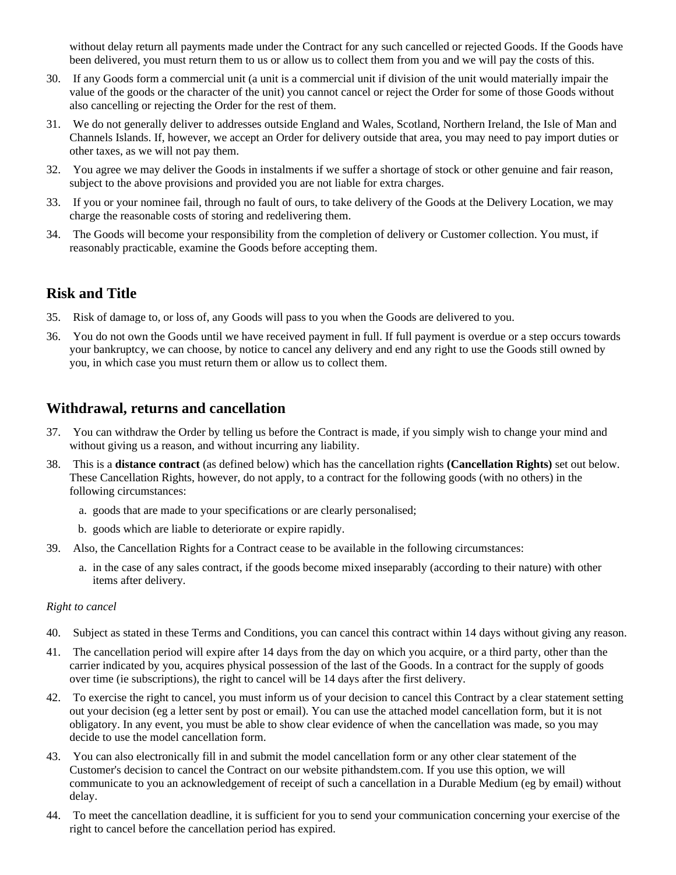without delay return all payments made under the Contract for any such cancelled or rejected Goods. If the Goods have been delivered, you must return them to us or allow us to collect them from you and we will pay the costs of this.

- 30. If any Goods form a commercial unit (a unit is a commercial unit if division of the unit would materially impair the value of the goods or the character of the unit) you cannot cancel or reject the Order for some of those Goods without also cancelling or rejecting the Order for the rest of them.
- 31. We do not generally deliver to addresses outside England and Wales, Scotland, Northern Ireland, the Isle of Man and Channels Islands. If, however, we accept an Order for delivery outside that area, you may need to pay import duties or other taxes, as we will not pay them.
- 32. You agree we may deliver the Goods in instalments if we suffer a shortage of stock or other genuine and fair reason, subject to the above provisions and provided you are not liable for extra charges.
- 33. If you or your nominee fail, through no fault of ours, to take delivery of the Goods at the Delivery Location, we may charge the reasonable costs of storing and redelivering them.
- 34. The Goods will become your responsibility from the completion of delivery or Customer collection. You must, if reasonably practicable, examine the Goods before accepting them.

# **Risk and Title**

- 35. Risk of damage to, or loss of, any Goods will pass to you when the Goods are delivered to you.
- 36. You do not own the Goods until we have received payment in full. If full payment is overdue or a step occurs towards your bankruptcy, we can choose, by notice to cancel any delivery and end any right to use the Goods still owned by you, in which case you must return them or allow us to collect them.

# **Withdrawal, returns and cancellation**

- 37. You can withdraw the Order by telling us before the Contract is made, if you simply wish to change your mind and without giving us a reason, and without incurring any liability.
- 38. This is a **distance contract** (as defined below) which has the cancellation rights **(Cancellation Rights)** set out below. These Cancellation Rights, however, do not apply, to a contract for the following goods (with no others) in the following circumstances:
	- a. goods that are made to your specifications or are clearly personalised;
	- b. goods which are liable to deteriorate or expire rapidly.
- 39. Also, the Cancellation Rights for a Contract cease to be available in the following circumstances:
	- a. in the case of any sales contract, if the goods become mixed inseparably (according to their nature) with other items after delivery.

#### *Right to cancel*

- 40. Subject as stated in these Terms and Conditions, you can cancel this contract within 14 days without giving any reason.
- 41. The cancellation period will expire after 14 days from the day on which you acquire, or a third party, other than the carrier indicated by you, acquires physical possession of the last of the Goods. In a contract for the supply of goods over time (ie subscriptions), the right to cancel will be 14 days after the first delivery.
- 42. To exercise the right to cancel, you must inform us of your decision to cancel this Contract by a clear statement setting out your decision (eg a letter sent by post or email). You can use the attached model cancellation form, but it is not obligatory. In any event, you must be able to show clear evidence of when the cancellation was made, so you may decide to use the model cancellation form.
- 43. You can also electronically fill in and submit the model cancellation form or any other clear statement of the Customer's decision to cancel the Contract on our website pithandstem.com. If you use this option, we will communicate to you an acknowledgement of receipt of such a cancellation in a Durable Medium (eg by email) without delay.
- 44. To meet the cancellation deadline, it is sufficient for you to send your communication concerning your exercise of the right to cancel before the cancellation period has expired.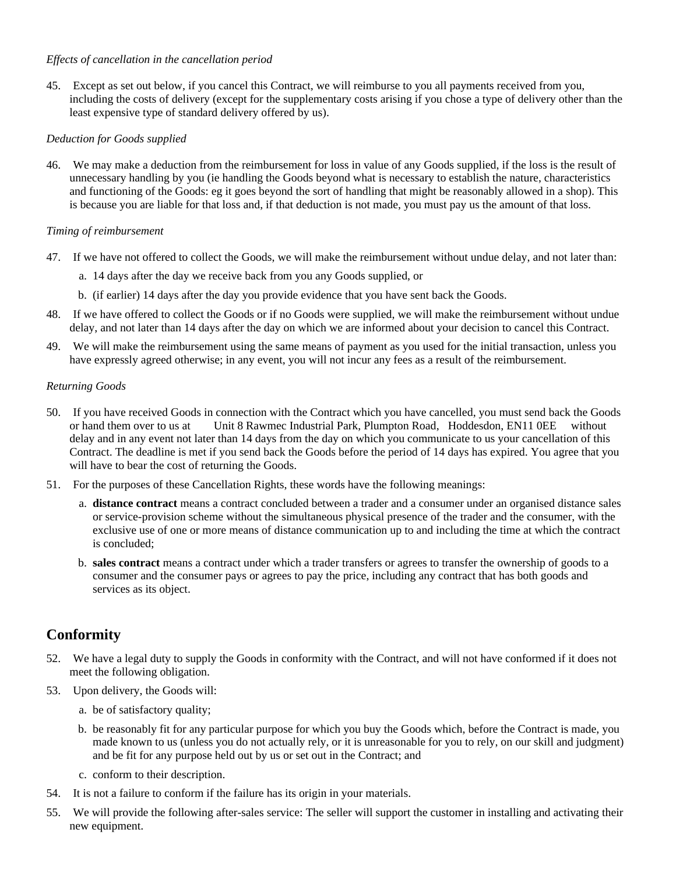#### *Effects of cancellation in the cancellation period*

45. Except as set out below, if you cancel this Contract, we will reimburse to you all payments received from you, including the costs of delivery (except for the supplementary costs arising if you chose a type of delivery other than the least expensive type of standard delivery offered by us).

#### *Deduction for Goods supplied*

46. We may make a deduction from the reimbursement for loss in value of any Goods supplied, if the loss is the result of unnecessary handling by you (ie handling the Goods beyond what is necessary to establish the nature, characteristics and functioning of the Goods: eg it goes beyond the sort of handling that might be reasonably allowed in a shop). This is because you are liable for that loss and, if that deduction is not made, you must pay us the amount of that loss.

#### *Timing of reimbursement*

- 47. If we have not offered to collect the Goods, we will make the reimbursement without undue delay, and not later than:
	- a. 14 days after the day we receive back from you any Goods supplied, or
	- b. (if earlier) 14 days after the day you provide evidence that you have sent back the Goods.
- 48. If we have offered to collect the Goods or if no Goods were supplied, we will make the reimbursement without undue delay, and not later than 14 days after the day on which we are informed about your decision to cancel this Contract.
- 49. We will make the reimbursement using the same means of payment as you used for the initial transaction, unless you have expressly agreed otherwise; in any event, you will not incur any fees as a result of the reimbursement.

#### *Returning Goods*

- 50. If you have received Goods in connection with the Contract which you have cancelled, you must send back the Goods or hand them over to us at Unit 8 Rawmec Industrial Park, Plumpton Road, Hoddesdon, EN11 0EE without delay and in any event not later than 14 days from the day on which you communicate to us your cancellation of this Contract. The deadline is met if you send back the Goods before the period of 14 days has expired. You agree that you will have to bear the cost of returning the Goods.
- 51. For the purposes of these Cancellation Rights, these words have the following meanings:
	- a. **distance contract** means a contract concluded between a trader and a consumer under an organised distance sales or service-provision scheme without the simultaneous physical presence of the trader and the consumer, with the exclusive use of one or more means of distance communication up to and including the time at which the contract is concluded;
	- b. **sales contract** means a contract under which a trader transfers or agrees to transfer the ownership of goods to a consumer and the consumer pays or agrees to pay the price, including any contract that has both goods and services as its object.

# **Conformity**

- 52. We have a legal duty to supply the Goods in conformity with the Contract, and will not have conformed if it does not meet the following obligation.
- 53. Upon delivery, the Goods will:
	- a. be of satisfactory quality;
	- b. be reasonably fit for any particular purpose for which you buy the Goods which, before the Contract is made, you made known to us (unless you do not actually rely, or it is unreasonable for you to rely, on our skill and judgment) and be fit for any purpose held out by us or set out in the Contract; and
	- c. conform to their description.
- 54. It is not a failure to conform if the failure has its origin in your materials.
- 55. We will provide the following after-sales service: The seller will support the customer in installing and activating their new equipment.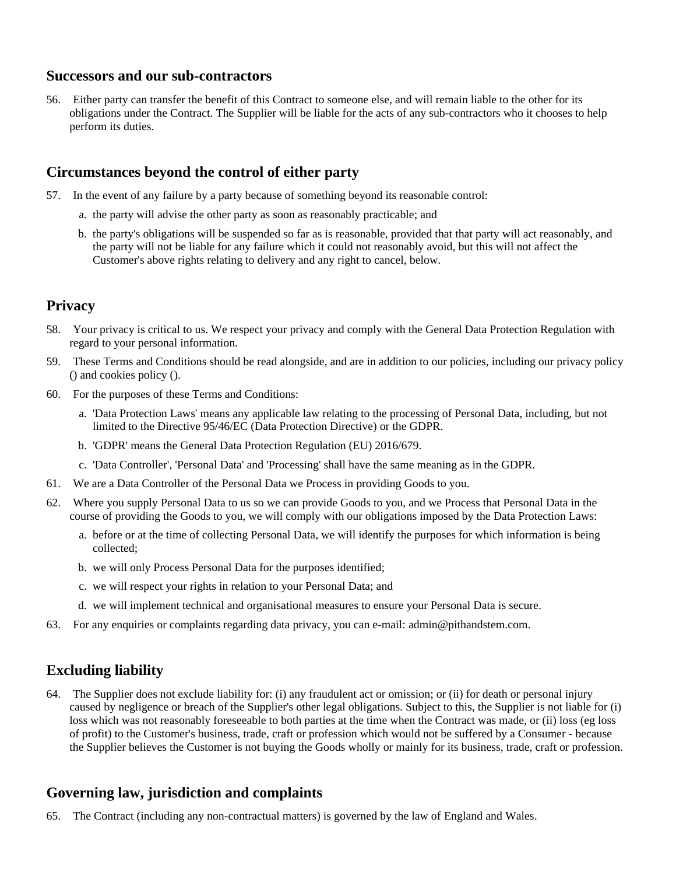#### **Successors and our sub-contractors**

56. Either party can transfer the benefit of this Contract to someone else, and will remain liable to the other for its obligations under the Contract. The Supplier will be liable for the acts of any sub-contractors who it chooses to help perform its duties.

# **Circumstances beyond the control of either party**

- 57. In the event of any failure by a party because of something beyond its reasonable control:
	- a. the party will advise the other party as soon as reasonably practicable; and
	- b. the party's obligations will be suspended so far as is reasonable, provided that that party will act reasonably, and the party will not be liable for any failure which it could not reasonably avoid, but this will not affect the Customer's above rights relating to delivery and any right to cancel, below.

# **Privacy**

- 58. Your privacy is critical to us. We respect your privacy and comply with the General Data Protection Regulation with regard to your personal information.
- 59. These Terms and Conditions should be read alongside, and are in addition to our policies, including our privacy policy () and cookies policy ().
- 60. For the purposes of these Terms and Conditions:
	- a. 'Data Protection Laws' means any applicable law relating to the processing of Personal Data, including, but not limited to the Directive 95/46/EC (Data Protection Directive) or the GDPR.
	- b. 'GDPR' means the General Data Protection Regulation (EU) 2016/679.
	- c. 'Data Controller', 'Personal Data' and 'Processing' shall have the same meaning as in the GDPR.
- 61. We are a Data Controller of the Personal Data we Process in providing Goods to you.
- 62. Where you supply Personal Data to us so we can provide Goods to you, and we Process that Personal Data in the course of providing the Goods to you, we will comply with our obligations imposed by the Data Protection Laws:
	- a. before or at the time of collecting Personal Data, we will identify the purposes for which information is being collected;
	- b. we will only Process Personal Data for the purposes identified;
	- c. we will respect your rights in relation to your Personal Data; and
	- d. we will implement technical and organisational measures to ensure your Personal Data is secure.
- 63. For any enquiries or complaints regarding data privacy, you can e-mail: admin@pithandstem.com.

# **Excluding liability**

64. The Supplier does not exclude liability for: (i) any fraudulent act or omission; or (ii) for death or personal injury caused by negligence or breach of the Supplier's other legal obligations. Subject to this, the Supplier is not liable for (i) loss which was not reasonably foreseeable to both parties at the time when the Contract was made, or (ii) loss (eg loss of profit) to the Customer's business, trade, craft or profession which would not be suffered by a Consumer - because the Supplier believes the Customer is not buying the Goods wholly or mainly for its business, trade, craft or profession.

# **Governing law, jurisdiction and complaints**

65. The Contract (including any non-contractual matters) is governed by the law of England and Wales.